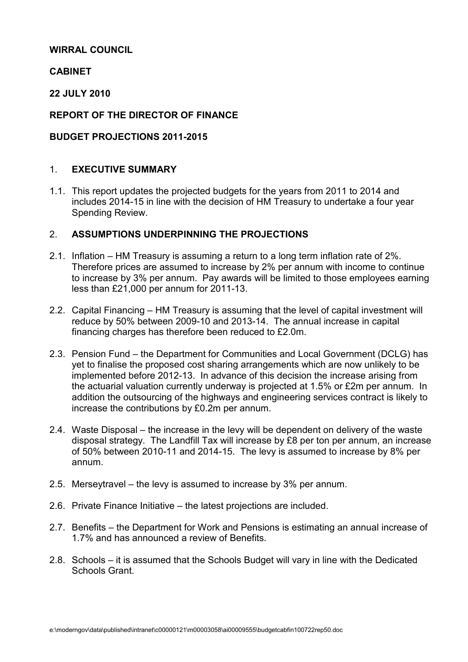## WIRRAL COUNCIL

# CABINET

# 22 JULY 2010

# REPORT OF THE DIRECTOR OF FINANCE

# BUDGET PROJECTIONS 2011-2015

# 1. EXECUTIVE SUMMARY

1.1. This report updates the projected budgets for the years from 2011 to 2014 and includes 2014-15 in line with the decision of HM Treasury to undertake a four year Spending Review.

# 2 ASSUMPTIONS UNDERPINNING THE PROJECTIONS

- 2.1. Inflation HM Treasury is assuming a return to a long term inflation rate of 2%. Therefore prices are assumed to increase by 2% per annum with income to continue to increase by 3% per annum. Pay awards will be limited to those employees earning less than £21,000 per annum for 2011-13.
- 2.2. Capital Financing HM Treasury is assuming that the level of capital investment will reduce by 50% between 2009-10 and 2013-14. The annual increase in capital financing charges has therefore been reduced to £2.0m.
- 2.3. Pension Fund the Department for Communities and Local Government (DCLG) has yet to finalise the proposed cost sharing arrangements which are now unlikely to be implemented before 2012-13. In advance of this decision the increase arising from the actuarial valuation currently underway is projected at 1.5% or £2m per annum. In addition the outsourcing of the highways and engineering services contract is likely to increase the contributions by £0.2m per annum.
- 2.4. Waste Disposal the increase in the levy will be dependent on delivery of the waste disposal strategy. The Landfill Tax will increase by £8 per ton per annum, an increase of 50% between 2010-11 and 2014-15. The levy is assumed to increase by 8% per annum.
- 2.5. Merseytravel the levy is assumed to increase by 3% per annum.
- 2.6. Private Finance Initiative the latest projections are included.
- 2.7. Benefits the Department for Work and Pensions is estimating an annual increase of 1.7% and has announced a review of Benefits.
- 2.8. Schools it is assumed that the Schools Budget will vary in line with the Dedicated Schools Grant.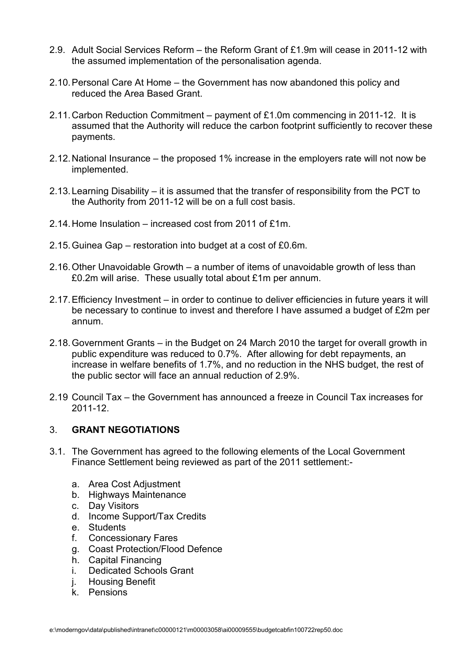- 2.9. Adult Social Services Reform the Reform Grant of £1.9m will cease in 2011-12 with the assumed implementation of the personalisation agenda.
- 2.10. Personal Care At Home the Government has now abandoned this policy and reduced the Area Based Grant.
- 2.11. Carbon Reduction Commitment payment of £1.0m commencing in 2011-12. It is assumed that the Authority will reduce the carbon footprint sufficiently to recover these payments.
- 2.12. National Insurance the proposed 1% increase in the employers rate will not now be implemented.
- 2.13. Learning Disability it is assumed that the transfer of responsibility from the PCT to the Authority from 2011-12 will be on a full cost basis.
- 2.14. Home Insulation increased cost from 2011 of £1m.
- 2.15. Guinea Gap restoration into budget at a cost of £0.6m.
- 2.16. Other Unavoidable Growth a number of items of unavoidable growth of less than £0.2m will arise. These usually total about £1m per annum.
- 2.17. Efficiency Investment in order to continue to deliver efficiencies in future years it will be necessary to continue to invest and therefore I have assumed a budget of £2m per annum.
- 2.18. Government Grants in the Budget on 24 March 2010 the target for overall growth in public expenditure was reduced to 0.7%. After allowing for debt repayments, an increase in welfare benefits of 1.7%, and no reduction in the NHS budget, the rest of the public sector will face an annual reduction of 2.9%.
- 2.19 Council Tax the Government has announced a freeze in Council Tax increases for 2011-12.

## 3. GRANT NEGOTIATIONS

- 3.1. The Government has agreed to the following elements of the Local Government Finance Settlement being reviewed as part of the 2011 settlement:
	- a. Area Cost Adjustment
	- b. Highways Maintenance
	- c. Day Visitors
	- d. Income Support/Tax Credits
	- e. Students
	- f. Concessionary Fares
	- g. Coast Protection/Flood Defence
	- h. Capital Financing
	- i. Dedicated Schools Grant
	- j. Housing Benefit
	- k. Pensions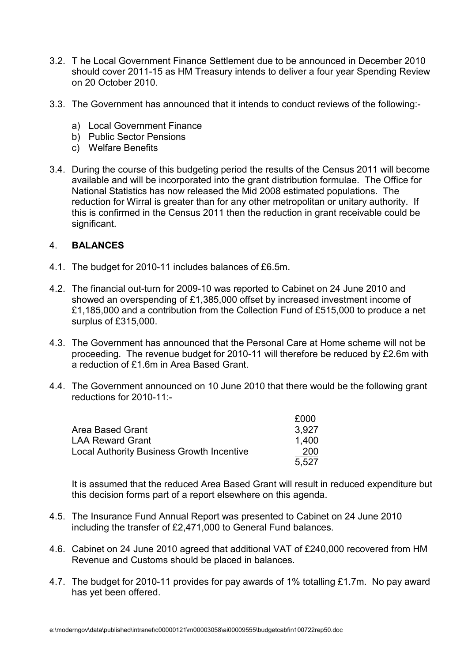- 3.2. T he Local Government Finance Settlement due to be announced in December 2010 should cover 2011-15 as HM Treasury intends to deliver a four year Spending Review on 20 October 2010.
- 3.3. The Government has announced that it intends to conduct reviews of the following:
	- a) Local Government Finance
	- b) Public Sector Pensions
	- c) Welfare Benefits
- 3.4. During the course of this budgeting period the results of the Census 2011 will become available and will be incorporated into the grant distribution formulae. The Office for National Statistics has now released the Mid 2008 estimated populations. The reduction for Wirral is greater than for any other metropolitan or unitary authority. If this is confirmed in the Census 2011 then the reduction in grant receivable could be significant.

## 4. BALANCES

- 4.1. The budget for 2010-11 includes balances of £6.5m.
- 4.2. The financial out-turn for 2009-10 was reported to Cabinet on 24 June 2010 and showed an overspending of £1,385,000 offset by increased investment income of £1,185,000 and a contribution from the Collection Fund of £515,000 to produce a net surplus of £315,000.
- 4.3. The Government has announced that the Personal Care at Home scheme will not be proceeding. The revenue budget for 2010-11 will therefore be reduced by £2.6m with a reduction of £1.6m in Area Based Grant.
- 4.4. The Government announced on 10 June 2010 that there would be the following grant reductions for 2010-11:-

|                                                  | £000  |
|--------------------------------------------------|-------|
| Area Based Grant                                 | 3.927 |
| <b>LAA Reward Grant</b>                          | 1.400 |
| <b>Local Authority Business Growth Incentive</b> | 200   |
|                                                  | 5.527 |

 It is assumed that the reduced Area Based Grant will result in reduced expenditure but this decision forms part of a report elsewhere on this agenda.

- 4.5. The Insurance Fund Annual Report was presented to Cabinet on 24 June 2010 including the transfer of £2,471,000 to General Fund balances.
- 4.6. Cabinet on 24 June 2010 agreed that additional VAT of £240,000 recovered from HM Revenue and Customs should be placed in balances.
- 4.7. The budget for 2010-11 provides for pay awards of 1% totalling £1.7m. No pay award has yet been offered.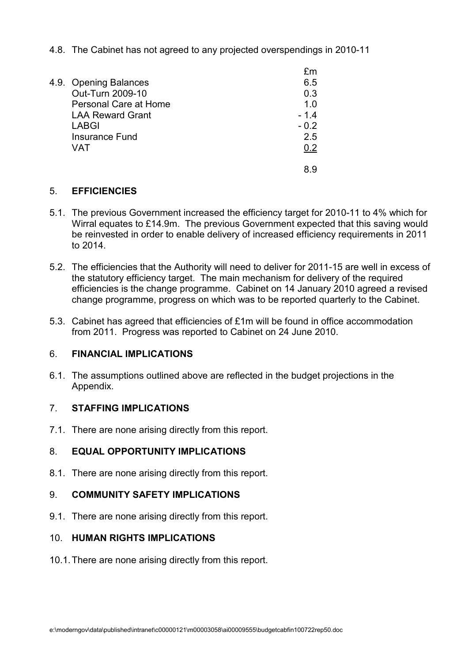4.8. The Cabinet has not agreed to any projected overspendings in 2010-11

|                         | fm     |
|-------------------------|--------|
| 4.9. Opening Balances   | 6.5    |
| Out-Turn 2009-10        | 0.3    |
| Personal Care at Home   | 1.0    |
| <b>LAA Reward Grant</b> | $-1.4$ |
| <b>LABGI</b>            | $-0.2$ |
| <b>Insurance Fund</b>   | 2.5    |
| VAT                     | 0.2    |
|                         |        |

## 5. EFFICIENCIES

- 5.1. The previous Government increased the efficiency target for 2010-11 to 4% which for Wirral equates to £14.9m. The previous Government expected that this saving would be reinvested in order to enable delivery of increased efficiency requirements in 2011 to 2014.
- 5.2. The efficiencies that the Authority will need to deliver for 2011-15 are well in excess of the statutory efficiency target. The main mechanism for delivery of the required efficiencies is the change programme. Cabinet on 14 January 2010 agreed a revised change programme, progress on which was to be reported quarterly to the Cabinet.
- 5.3. Cabinet has agreed that efficiencies of £1m will be found in office accommodation from 2011. Progress was reported to Cabinet on 24 June 2010.

## 6. FINANCIAL IMPLICATIONS

6.1. The assumptions outlined above are reflected in the budget projections in the Appendix.

## 7. STAFFING IMPLICATIONS

7.1. There are none arising directly from this report.

## 8. EQUAL OPPORTUNITY IMPLICATIONS

8.1. There are none arising directly from this report.

#### 9. COMMUNITY SAFETY IMPLICATIONS

9.1. There are none arising directly from this report.

## 10. HUMAN RIGHTS IMPLICATIONS

10.1. There are none arising directly from this report.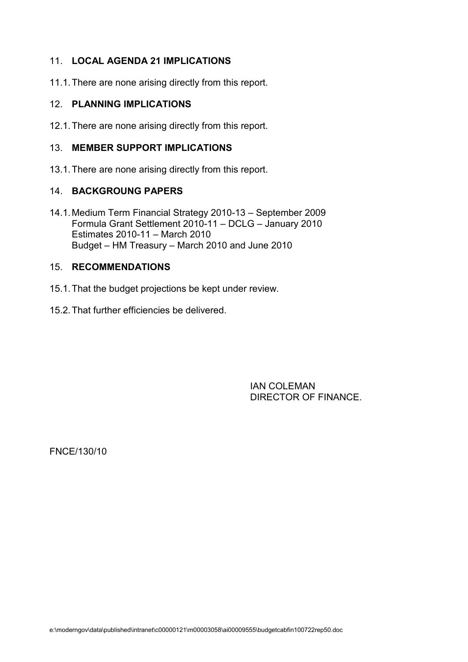# 11. LOCAL AGENDA 21 IMPLICATIONS

11.1. There are none arising directly from this report.

#### 12. PLANNING IMPLICATIONS

12.1. There are none arising directly from this report.

#### 13. MEMBER SUPPORT IMPLICATIONS

13.1. There are none arising directly from this report.

#### 14. BACKGROUNG PAPERS

14.1. Medium Term Financial Strategy 2010-13 – September 2009 Formula Grant Settlement 2010-11 – DCLG – January 2010 Estimates 2010-11 – March 2010 Budget – HM Treasury – March 2010 and June 2010

#### 15. RECOMMENDATIONS

- 15.1. That the budget projections be kept under review.
- 15.2. That further efficiencies be delivered.

 IAN COLEMAN DIRECTOR OF FINANCE.

FNCE/130/10